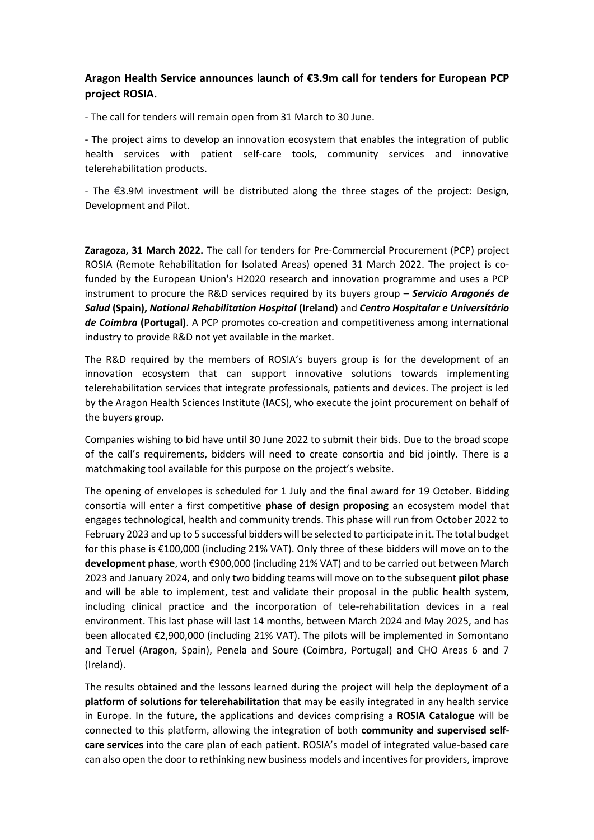## **Aragon Health Service announces launch of €3.9m call for tenders for European PCP project ROSIA.**

- The call for tenders will remain open from 31 March to 30 June.

- The project aims to develop an innovation ecosystem that enables the integration of public health services with patient self-care tools, community services and innovative telerehabilitation products.

- The €3.9M investment will be distributed along the three stages of the project: Design, Development and Pilot.

**Zaragoza, 31 March 2022.** The call for tenders for Pre-Commercial Procurement (PCP) project ROSIA (Remote Rehabilitation for Isolated Areas) opened 31 March 2022. The project is cofunded by the European Union's H2020 research and innovation programme and uses a PCP instrument to procure the R&D services required by its buyers group – *Servicio Aragonés de Salud* **(Spain),** *National Rehabilitation Hospital* **(Ireland)** and *Centro Hospitalar e Universitário de Coimbra* **(Portugal)**. A PCP promotes co-creation and competitiveness among international industry to provide R&D not yet available in the market.

The R&D required by the members of ROSIA's buyers group is for the development of an innovation ecosystem that can support innovative solutions towards implementing telerehabilitation services that integrate professionals, patients and devices. The project is led by the Aragon Health Sciences Institute (IACS), who execute the joint procurement on behalf of the buyers group.

Companies wishing to bid have until 30 June 2022 to submit their bids. Due to the broad scope of the call's requirements, bidders will need to create consortia and bid jointly. There is a matchmaking tool available for this purpose on the project's website.

The opening of envelopes is scheduled for 1 July and the final award for 19 October. Bidding consortia will enter a first competitive **phase of design proposing** an ecosystem model that engages technological, health and community trends. This phase will run from October 2022 to February 2023 and up to 5 successful bidders will be selected to participate in it. The total budget for this phase is €100,000 (including 21% VAT). Only three of these bidders will move on to the **development phase**, worth €900,000 (including 21% VAT) and to be carried out between March 2023 and January 2024, and only two bidding teams will move on to the subsequent **pilot phase** and will be able to implement, test and validate their proposal in the public health system, including clinical practice and the incorporation of tele-rehabilitation devices in a real environment. This last phase will last 14 months, between March 2024 and May 2025, and has been allocated €2,900,000 (including 21% VAT). The pilots will be implemented in Somontano and Teruel (Aragon, Spain), Penela and Soure (Coimbra, Portugal) and CHO Areas 6 and 7 (Ireland).

The results obtained and the lessons learned during the project will help the deployment of a **platform of solutions for telerehabilitation** that may be easily integrated in any health service in Europe. In the future, the applications and devices comprising a **ROSIA Catalogue** will be connected to this platform, allowing the integration of both **community and supervised selfcare services** into the care plan of each patient. ROSIA's model of integrated value-based care can also open the door to rethinking new business models and incentives for providers, improve